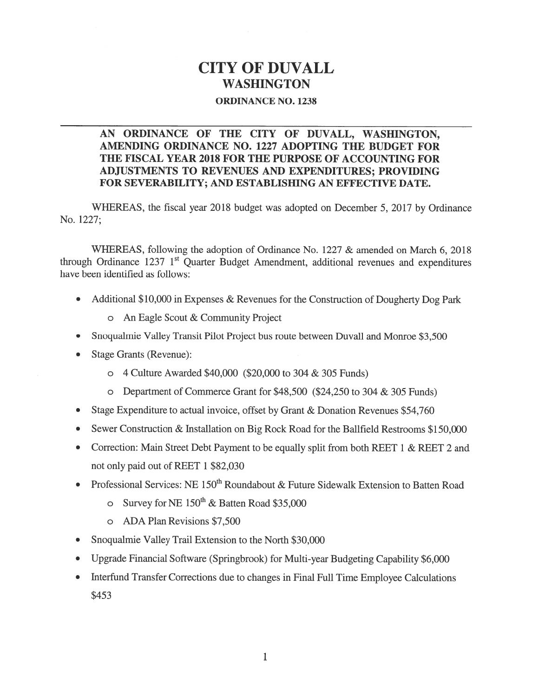# CITY OF DUVALL WASHINGTON

#### ORDINANCE NO. 123\$

### AN ORDINANCE OF THE CITY OF DUVALL, WASHINGTON, AMENDING ORDINANCE NO. 1227 ADOPTING THE BUDGET FOR THE FISCAL YEAR 2018 FOR THE PURPOSE OF ACCOUNTING FOR ADJUSTMENTS TO REVENUES AND EXPENDITURES; PROVIDING FOR SEVERABILITY; AND ESTABLISHING AN EFFECTIVE DATE.

WHEREAS, the fiscal year 2018 budget was adopted on December 5, 2017 by Ordinance No. 1227;

WHEREAS, following the adoption of Ordinance No. 1227 & amended on March 6, 2018 through Ordinance  $1237 \; 1^{st}$  Quarter Budget Amendment, additional revenues and expenditures have been identified as follows:

- Additional \$10,000 in Expenses & Revenues for the Construction of Dougherty Dog Park
	- <sup>0</sup> An Eagle Scout & Community Project
- . Snoqualmie Valley Transit Pilot Project bus route between Duvall and Monroe \$3,500
- . Stage Grants (Revenue):
	- <sup>0</sup> 4 Culture Awarded \$40,000 (\$20,000 to 304 & 305 Funds)
	- <sup>0</sup> Department of Commerce Grant for \$48,500 (\$24,250 to 304 & 305 Funds)
- . Stage Expenditure to actual invoice, offset by Grant & Donation Revenues \$54,760
- . Sewer Construction & Installation on Big Rock Road for the Bailfield Restrooms \$150,000
- Correction: Main Street Debt Payment to be equally split from both REET 1 & REET 2 and not only paid out of REET 1 \$82,030
- Professional Services: NE 150<sup>th</sup> Roundabout & Future Sidewalk Extension to Batten Road
	- o Survey for NE  $150^{th}$  & Batten Road \$35,000
	- <sup>0</sup> ADA Plan Revisions \$7,500
- Snoqualmie Valley Trail Extension to the North \$30,000
- . Upgrade Financial Software (Springbrook) for Multi-year Budgeting Capability \$6,000
- . Interfund Transfer Corrections due to changes in Final Full Time Employee Calculations \$453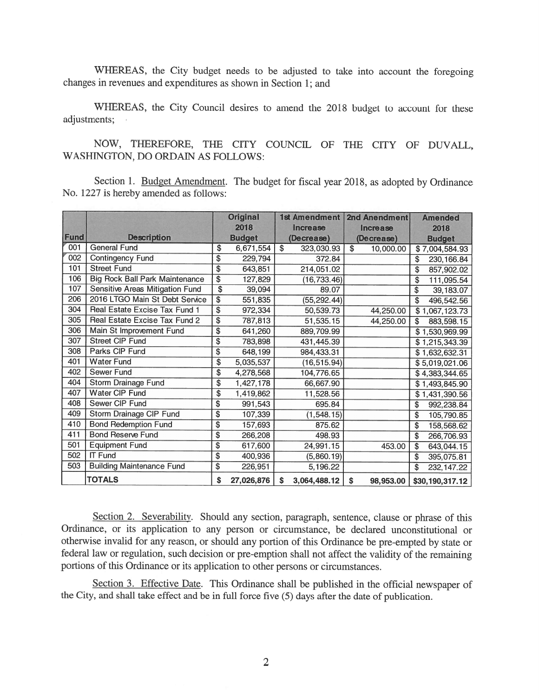WHEREAS, the City budget needs to be adjusted to take into account the foregoing changes in revenues and expenditures as shown in Section 1; and

WHEREAS, the City Council desires to amend the <sup>2018</sup> budget to account for these adjustments;

NOW, THEREFORE, THE CITY COUNCIL OF THE CITY OF DUVALL, WASHINGTON, DO ORDAIN AS FOLLOWS:

Section 1. Budget Amendment. The budget for fiscal year 2018, as adopted by Ordinance No. 1227 is hereby amended as follows:

|             |                                        |                          | <b>Original</b> |                 | <b>1st Amendment</b> |                 | 2nd Anendment |      | <b>Amended</b>             |  |
|-------------|----------------------------------------|--------------------------|-----------------|-----------------|----------------------|-----------------|---------------|------|----------------------------|--|
|             |                                        | 2018                     |                 | <b>Increase</b> |                      | <b>Increase</b> |               | 2018 |                            |  |
| <b>Fund</b> | <b>Description</b>                     |                          | <b>Budget</b>   |                 | (Decrease)           |                 | (Decrease)    |      | <b>Budget</b>              |  |
| 001         | <b>General Fund</b>                    | \$                       | 6,671,554       | $\overline{\$}$ | 323,030.93           | $\overline{\$}$ | 10,000.00     |      | $\overline{$}7,004,584.93$ |  |
| 002         | Contingency Fund                       | \$                       | 229,794         |                 | 372.84               |                 |               | \$   | 230, 166.84                |  |
| 101         | <b>Street Fund</b>                     | \$                       | 643,851         |                 | 214,051.02           |                 |               | \$   | 857,902.02                 |  |
| 106         | <b>Big Rock Ball Park Maintenance</b>  | $\overline{\$}$          | 127,829         |                 | (16, 733.46)         |                 |               | \$   | 111,095.54                 |  |
| 107         | <b>Sensitive Areas Mitigation Fund</b> | \$                       | 39,094          |                 | 89.07                |                 |               | \$   | 39, 183.07                 |  |
| 206         | 2016 LTGO Main St Debt Service         | $\overline{\$}$          | 551,835         |                 | (55, 292.44)         |                 |               | \$   | 496,542.56                 |  |
| 304         | Real Estate Excise Tax Fund 1          | $\overline{\$}$          | 972,334         |                 | 50,539.73            |                 | 44,250.00     |      | \$1,067,123.73             |  |
| 305         | Real Estate Excise Tax Fund 2          | $\overline{\mathbf{3}}$  | 787,813         |                 | 51,535.15            |                 | 44,250.00     | \$   | 883,598.15                 |  |
| 306         | Main St Improvement Fund               | \$                       | 641,260         |                 | 889,709.99           |                 |               |      | \$1,530,969.99             |  |
| 307         | <b>Street CIP Fund</b>                 | $\overline{\$}$          | 783,898         |                 | 431,445.39           |                 |               |      | \$1,215,343.39             |  |
| 308         | Parks CIP Fund                         | $\overline{\mathcal{L}}$ | 648,199         |                 | 984,433.31           |                 |               |      | \$1,632,632.31             |  |
| 401         | <b>Water Fund</b>                      | \$                       | 5,035,537       |                 | (16, 515.94)         |                 |               |      | \$5,019,021.06             |  |
| 402         | <b>Sewer Fund</b>                      | \$                       | 4,278,568       |                 | 104,776.65           |                 |               |      | \$4,383,344.65             |  |
| 404         | Storm Drainage Fund                    | \$                       | 1,427,178       |                 | 66,667.90            |                 |               |      | \$1,493,845.90             |  |
| 407         | Water CIP Fund                         | \$                       | 1,419,862       |                 | 11,528.56            |                 |               |      | \$1,431,390.56             |  |
| 408         | Sewer CIP Fund                         | \$                       | 991,543         |                 | 695.84               |                 |               | \$   | 992,238.84                 |  |
| 409         | Storm Drainage CIP Fund                | \$                       | 107,339         |                 | (1, 548.15)          |                 |               | \$   | 105,790.85                 |  |
| 410         | <b>Bond Redemption Fund</b>            | \$                       | 157,693         |                 | 875.62               |                 |               | \$   | 158,568.62                 |  |
| 411         | <b>Bond Reserve Fund</b>               | \$                       | 266,208         |                 | 498.93               |                 |               | \$   | 266,706.93                 |  |
| 501         | <b>Equipment Fund</b>                  | \$                       | 617,600         |                 | 24,991.15            |                 | 453.00        | \$   | 643,044.15                 |  |
| 502         | <b>IT Fund</b>                         | \$                       | 400,936         |                 | (5,860.19)           |                 |               | \$   | 395,075.81                 |  |
| 503         | <b>Building Maintenance Fund</b>       | \$                       | 226,951         |                 | 5,196.22             |                 |               | \$   | 232, 147.22                |  |
|             | <b>TOTALS</b>                          | \$                       | 27,026,876      | \$              | 3,064,488.12         | \$              | 98,953.00     |      | \$30,190,317.12            |  |

Section 2. Severability. Should any section, paragraph, sentence, clause or phrase of this Ordinance, or its application to any person or circumstance, be declared unconstitutional or otherwise invalid for any reason, or should any portion of this Ordinance be pre-empted by state or federal law or regulation, such decision or pre-emption shall not affect the validity of the remaining portions of this Ordinance or its application to other persons or circumstances.

Section 3. Effective Date. This Ordinance shall be published in the official newspaper of the City, and shall take effect and be in full force five (5) days after the date of publication.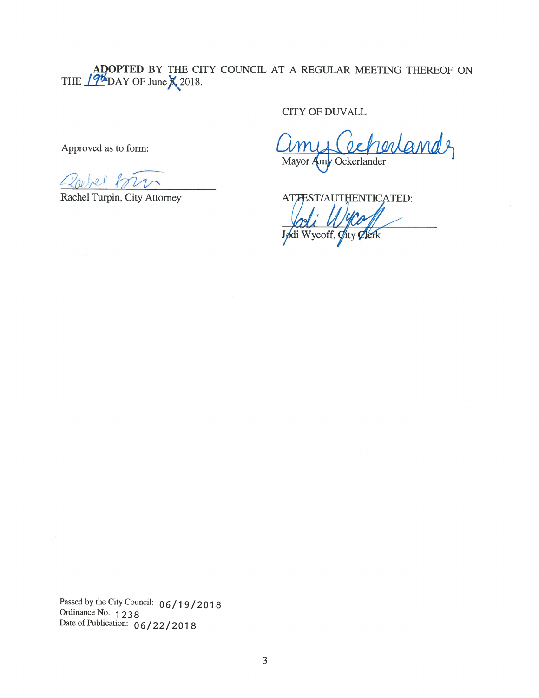ADOPTED BY THE CITY COUNCIL AT A REGULAR MEETING THEREOF ON THE  $17^{\circ}$ DAY OF June  $\lambda$  2018. ADOPTED BY THE CITY COUNCIL AT A REGULAR MEETING THERE<br>THE 194 DAY OF June X 2018.<br>CITY OF DUVALL<br>Approved as to form:  $\hat{U}$  and  $\hat{U}$ 

CITY OF DUVALL

Mayor Amy Ockerlander

Rachel Turpin, City Attorney ATTEST/AUTHENTICATED: %b Jødi Wycoff, Øity

 $\mathcal{D}_0$ 

Passed by the City Council: 06/19/2018<br>Ordinance No. 1238 Date of Publication:  $06/22/2018$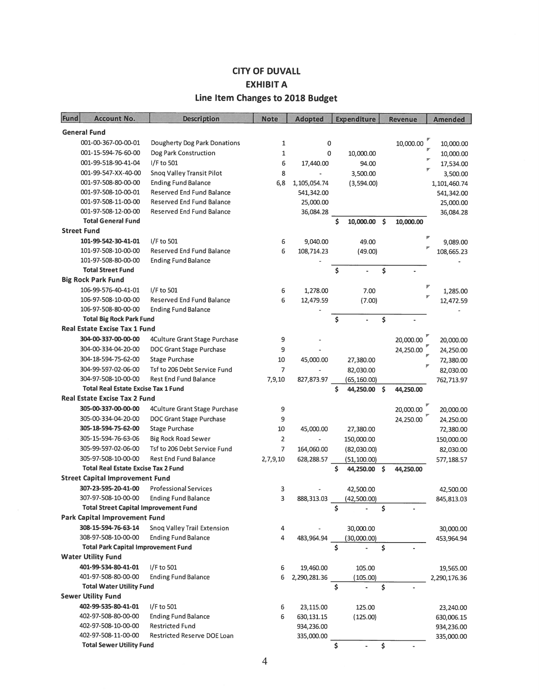## CITY OF DUVALL EXHIBIT A Line Item Changes to 2018 Budget

| Fund                                   | <b>Account No.</b>                           | <b>Description</b>                  | <b>Note</b>    | <b>Adopted</b>          |     | <b>Expenditure</b> |     | <b>Revenue</b> | <b>Amended</b>         |
|----------------------------------------|----------------------------------------------|-------------------------------------|----------------|-------------------------|-----|--------------------|-----|----------------|------------------------|
|                                        | <b>General Fund</b>                          |                                     |                |                         |     |                    |     |                |                        |
|                                        | 001-00-367-00-00-01                          | <b>Dougherty Dog Park Donations</b> | 1              | 0                       |     |                    |     | 10,000.00      |                        |
|                                        | 001-15-594-76-60-00                          | Dog Park Construction               | $\mathbf{1}$   | 0                       |     |                    |     |                | 10,000.00              |
|                                        | 001-99-518-90-41-04                          | I/F to 501                          | 6              |                         |     | 10,000.00          |     |                | 10,000.00              |
|                                        | 001-99-547-XX-40-00                          | Snoq Valley Transit Pilot           |                | 17,440.00               |     | 94.00              |     |                | 17,534.00              |
|                                        | 001-97-508-80-00-00                          | <b>Ending Fund Balance</b>          | 8              |                         |     | 3,500.00           |     |                | 3,500.00               |
|                                        | 001-97-508-10-00-01                          | Reserved End Fund Balance           | 6,8            | 1,105,054.74            |     | (3,594.00)         |     |                | 1,101,460.74           |
|                                        | 001-97-508-11-00-00                          | <b>Reserved End Fund Balance</b>    |                | 541,342.00<br>25,000.00 |     |                    |     |                | 541,342.00             |
|                                        | 001-97-508-12-00-00                          | <b>Reserved End Fund Balance</b>    |                | 36,084.28               |     |                    |     |                | 25,000.00<br>36,084.28 |
|                                        | <b>Total General Fund</b>                    |                                     |                |                         | \$  | 10,000.00          | \$  | 10,000.00      |                        |
|                                        | <b>Street Fund</b>                           |                                     |                |                         |     |                    |     |                |                        |
|                                        | 101-99-542-30-41-01                          | I/F to 501                          | 6              | 9,040.00                |     | 49.00              |     |                | 9,089.00               |
|                                        | 101-97-508-10-00-00                          | <b>Reserved End Fund Balance</b>    | 6              | 108,714.23              |     | (49.00)            |     |                | 108,665.23             |
|                                        | 101-97-508-80-00-00                          | <b>Ending Fund Balance</b>          |                |                         |     |                    |     |                |                        |
|                                        | <b>Total Street Fund</b>                     |                                     |                |                         | \$  |                    | \$  |                |                        |
|                                        | <b>Big Rock Park Fund</b>                    |                                     |                |                         |     |                    |     |                |                        |
|                                        | 106-99-576-40-41-01                          | I/F to 501                          | 6              | 1,278.00                |     | 7.00               |     |                | 1,285.00               |
|                                        | 106-97-508-10-00-00                          | <b>Reserved End Fund Balance</b>    | 6              | 12,479.59               |     | (7.00)             |     |                | 12,472.59              |
|                                        | 106-97-508-80-00-00                          | <b>Ending Fund Balance</b>          |                |                         |     |                    |     |                |                        |
|                                        | <b>Total Big Rock Park Fund</b>              |                                     |                |                         | \$  |                    | \$  |                |                        |
|                                        | <b>Real Estate Excise Tax 1 Fund</b>         |                                     |                |                         |     |                    |     |                |                        |
|                                        | 304-00-337-00-00-00                          | 4Culture Grant Stage Purchase       | 9              |                         |     |                    |     | 20,000.00      | 20,000.00              |
|                                        | 304-00-334-04-20-00                          | DOC Grant Stage Purchase            | 9              |                         |     |                    |     | 24,250.00      | 24,250.00              |
|                                        | 304-18-594-75-62-00                          | <b>Stage Purchase</b>               | 10             | 45,000.00               |     | 27,380.00          |     |                | 72,380.00              |
|                                        | 304-99-597-02-06-00                          | Tsf to 206 Debt Service Fund        | 7              |                         |     | 82,030.00          |     |                | 82,030.00              |
|                                        | 304-97-508-10-00-00                          | <b>Rest End Fund Balance</b>        | 7,9,10         | 827,873.97              |     | (65, 160.00)       |     |                | 762,713.97             |
|                                        | <b>Total Real Estate Excise Tax 1 Fund</b>   |                                     |                |                         | Ś   | 44,250.00          | -Ś  | 44,250.00      |                        |
| <b>Real Estate Excise Tax 2 Fund</b>   |                                              |                                     |                |                         |     |                    |     |                |                        |
|                                        | 305-00-337-00-00-00                          | 4Culture Grant Stage Purchase       | 9              |                         |     |                    |     | 20,000.00      | 20,000.00              |
|                                        | 305-00-334-04-20-00                          | DOC Grant Stage Purchase            | 9              |                         |     |                    |     | 24,250.00      | 24,250.00              |
|                                        | 305-18-594-75-62-00                          | <b>Stage Purchase</b>               | 10             | 45,000.00               |     | 27,380.00          |     |                | 72,380.00              |
|                                        | 305-15-594-76-63-06                          | <b>Big Rock Road Sewer</b>          | $\overline{2}$ |                         |     | 150,000.00         |     |                | 150,000.00             |
|                                        | 305-99-597-02-06-00                          | Tsf to 206 Debt Service Fund        | 7              | 164,060.00              |     | (82,030.00)        |     |                | 82,030.00              |
|                                        | 305-97-508-10-00-00                          | <b>Rest End Fund Balance</b>        | 2,7,9,10       | 628,288.57              |     | (51, 100.00)       |     |                | 577,188.57             |
|                                        | <b>Total Real Estate Excise Tax 2 Fund</b>   |                                     |                |                         | Ś   | 44,250.00          | \$. | 44,250.00      |                        |
| <b>Street Capital Improvement Fund</b> |                                              |                                     |                |                         |     |                    |     |                |                        |
|                                        | 307-23-595-20-41-00                          | <b>Professional Services</b>        | 3              |                         |     | 42,500.00          |     |                | 42,500.00              |
|                                        | 307-97-508-10-00-00                          | <b>Ending Fund Balance</b>          | 3              | 888,313.03              |     | (42,500.00)        |     |                | 845,813.03             |
|                                        | <b>Total Street Capital Improvement Fund</b> |                                     |                |                         | \$. |                    | Ś.  |                |                        |
|                                        | <b>Park Capital Improvement Fund</b>         |                                     |                |                         |     |                    |     |                |                        |
|                                        | 308-15-594-76-63-14                          | Snoq Valley Trail Extension         | 4              |                         |     | 30,000.00          |     |                | 30,000.00              |
|                                        | 308-97-508-10-00-00                          | <b>Ending Fund Balance</b>          | 4              | 483,964.94              |     | (30,000.00)        |     |                | 453,964.94             |
|                                        | <b>Total Park Capital Improvement Fund</b>   |                                     |                |                         | \$  |                    | \$  |                |                        |
|                                        | <b>Water Utility Fund</b>                    |                                     |                |                         |     |                    |     |                |                        |
|                                        | 401-99-534-80-41-01                          | I/F to 501                          | 6              | 19,460.00               |     | 105.00             |     |                | 19,565.00              |
|                                        | 401-97-508-80-00-00                          | <b>Ending Fund Balance</b>          | 6              | 2,290,281.36            |     | (105.00)           |     |                | 2,290,176.36           |
|                                        | <b>Total Water Utility Fund</b>              |                                     |                |                         | \$  |                    | \$  |                |                        |
|                                        | <b>Sewer Utility Fund</b>                    |                                     |                |                         |     |                    |     |                |                        |
|                                        | 402-99-535-80-41-01                          | $I/F$ to 501                        | 6              | 23,115.00               |     | 125.00             |     |                | 23,240.00              |
|                                        | 402-97-508-80-00-00                          | <b>Ending Fund Balance</b>          | 6              | 630, 131. 15            |     | (125.00)           |     |                | 630,006.15             |
|                                        | 402-97-508-10-00-00                          | <b>Restricted Fund</b>              |                | 934,236.00              |     |                    |     |                | 934,236.00             |
|                                        | 402-97-508-11-00-00                          | Restricted Reserve DOE Loan         |                | 335,000.00              |     |                    |     |                | 335,000.00             |
|                                        | <b>Total Sewer Utility Fund</b>              |                                     |                |                         | \$  |                    | \$  |                |                        |